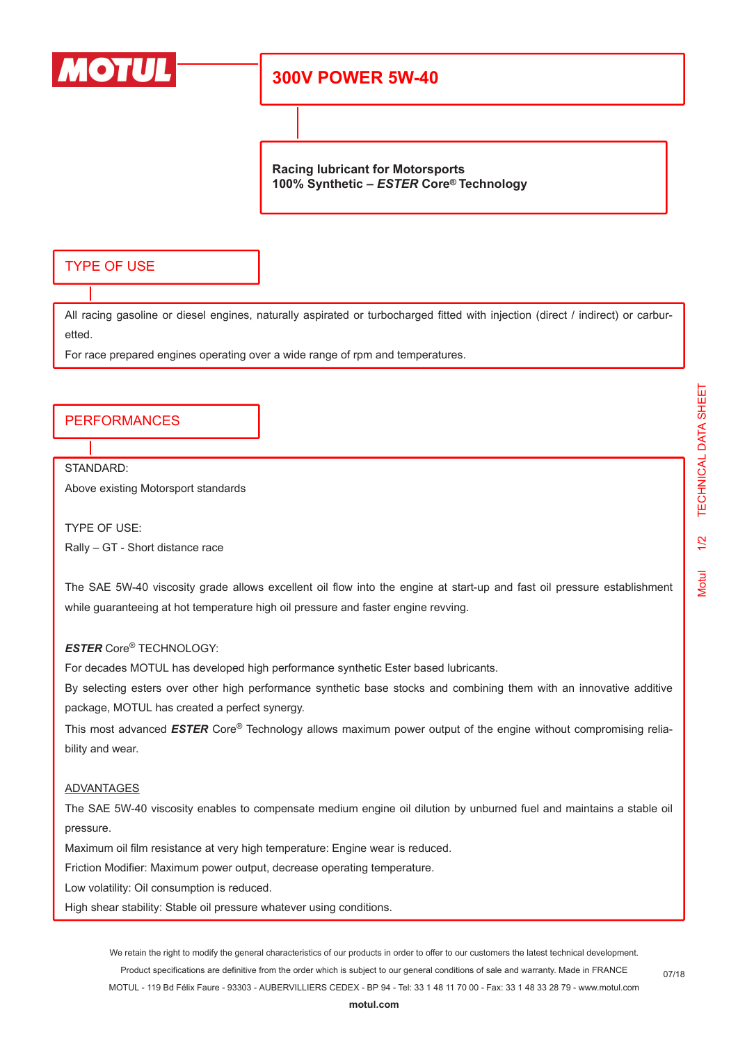

## **300V POWER 5W-40**

**Racing lubricant for Motorsports 100% Synthetic –** *ESTER* **Core® Technology**

### TYPE OF USE

All racing gasoline or diesel engines, naturally aspirated or turbocharged fitted with injection (direct / indirect) or carburetted.

For race prepared engines operating over a wide range of rpm and temperatures.

#### PERFORMANCES

STANDARD:

Above existing Motorsport standards

TYPE OF USE: Rally – GT - Short distance race

The SAE 5W-40 viscosity grade allows excellent oil flow into the engine at start-up and fast oil pressure establishment while guaranteeing at hot temperature high oil pressure and faster engine revving.

#### *ESTER* Core® TECHNOLOGY:

For decades MOTUL has developed high performance synthetic Ester based lubricants.

By selecting esters over other high performance synthetic base stocks and combining them with an innovative additive package, MOTUL has created a perfect synergy.

This most advanced *ESTER* Core® Technology allows maximum power output of the engine without compromising reliability and wear.

#### ADVANTAGES

The SAE 5W-40 viscosity enables to compensate medium engine oil dilution by unburned fuel and maintains a stable oil pressure.

Maximum oil film resistance at very high temperature: Engine wear is reduced.

Friction Modifier: Maximum power output, decrease operating temperature.

Low volatility: Oil consumption is reduced.

High shear stability: Stable oil pressure whatever using conditions.

We retain the right to modify the general characteristics of our products in order to offer to our customers the latest technical development. Product specifications are definitive from the order which is subject to our general conditions of sale and warranty. Made in FRANCE MOTUL - 119 Bd Félix Faure - 93303 - AUBERVILLIERS CEDEX - BP 94 - Tel: 33 1 48 11 70 00 - Fax: 33 1 48 33 28 79 - www.motul.com